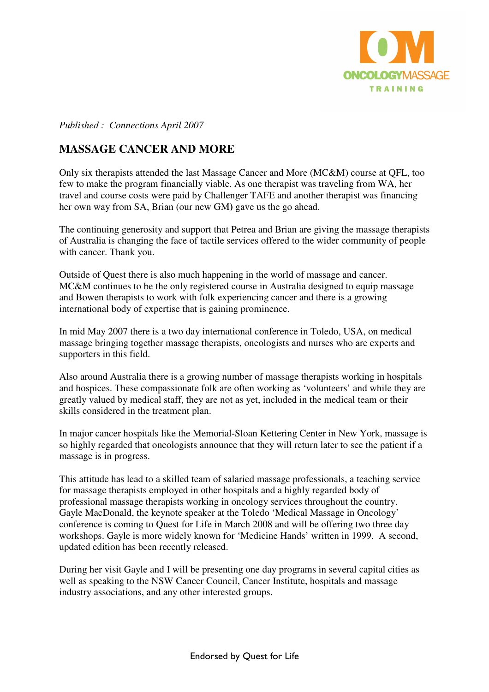

*Published : Connections April 2007* 

## **MASSAGE CANCER AND MORE**

Only six therapists attended the last Massage Cancer and More (MC&M) course at QFL, too few to make the program financially viable. As one therapist was traveling from WA, her travel and course costs were paid by Challenger TAFE and another therapist was financing her own way from SA, Brian (our new GM**)** gave us the go ahead.

The continuing generosity and support that Petrea and Brian are giving the massage therapists of Australia is changing the face of tactile services offered to the wider community of people with cancer. Thank you.

Outside of Quest there is also much happening in the world of massage and cancer. MC&M continues to be the only registered course in Australia designed to equip massage and Bowen therapists to work with folk experiencing cancer and there is a growing international body of expertise that is gaining prominence.

In mid May 2007 there is a two day international conference in Toledo, USA, on medical massage bringing together massage therapists, oncologists and nurses who are experts and supporters in this field.

Also around Australia there is a growing number of massage therapists working in hospitals and hospices. These compassionate folk are often working as 'volunteers' and while they are greatly valued by medical staff, they are not as yet, included in the medical team or their skills considered in the treatment plan.

In major cancer hospitals like the Memorial-Sloan Kettering Center in New York, massage is so highly regarded that oncologists announce that they will return later to see the patient if a massage is in progress.

This attitude has lead to a skilled team of salaried massage professionals, a teaching service for massage therapists employed in other hospitals and a highly regarded body of professional massage therapists working in oncology services throughout the country. Gayle MacDonald, the keynote speaker at the Toledo 'Medical Massage in Oncology' conference is coming to Quest for Life in March 2008 and will be offering two three day workshops. Gayle is more widely known for 'Medicine Hands' written in 1999. A second, updated edition has been recently released.

During her visit Gayle and I will be presenting one day programs in several capital cities as well as speaking to the NSW Cancer Council, Cancer Institute, hospitals and massage industry associations, and any other interested groups.